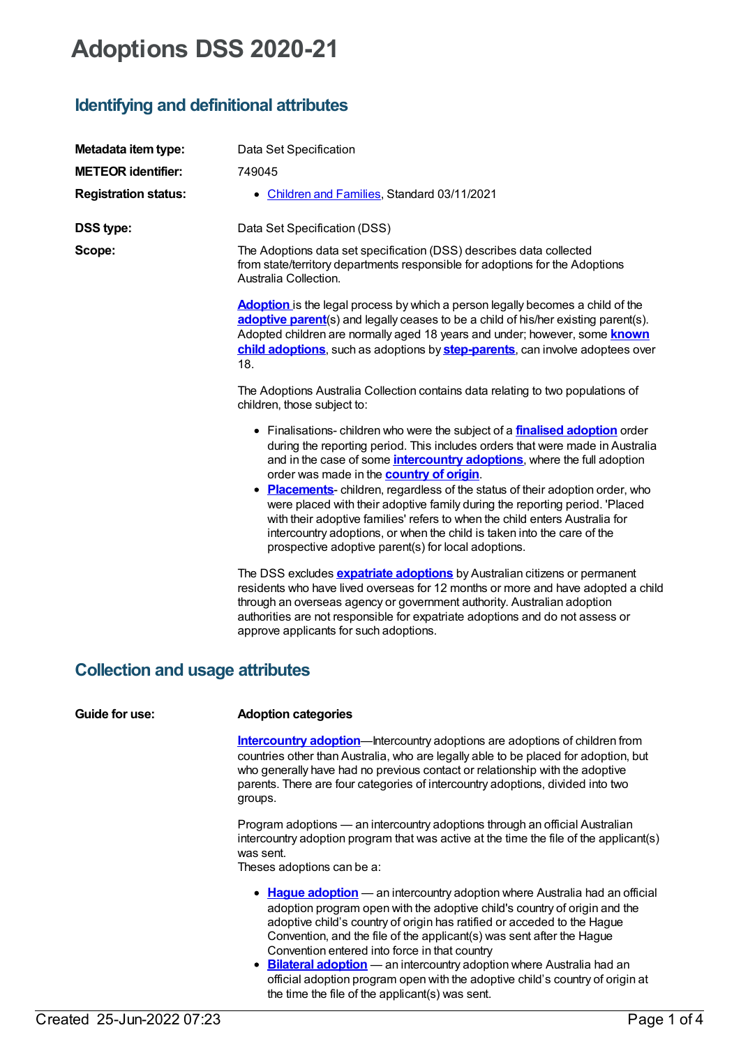# **Adoptions DSS 2020-21**

# **Identifying and definitional attributes**

| Metadata item type:         | Data Set Specification                                                                                                                                                                                                                                                                                                                                                                                                                                                                                                                                                                                                                                                                     |
|-----------------------------|--------------------------------------------------------------------------------------------------------------------------------------------------------------------------------------------------------------------------------------------------------------------------------------------------------------------------------------------------------------------------------------------------------------------------------------------------------------------------------------------------------------------------------------------------------------------------------------------------------------------------------------------------------------------------------------------|
| <b>METEOR</b> identifier:   | 749045                                                                                                                                                                                                                                                                                                                                                                                                                                                                                                                                                                                                                                                                                     |
| <b>Registration status:</b> | • Children and Families, Standard 03/11/2021                                                                                                                                                                                                                                                                                                                                                                                                                                                                                                                                                                                                                                               |
| <b>DSS type:</b>            | Data Set Specification (DSS)                                                                                                                                                                                                                                                                                                                                                                                                                                                                                                                                                                                                                                                               |
| Scope:                      | The Adoptions data set specification (DSS) describes data collected<br>from state/territory departments responsible for adoptions for the Adoptions<br>Australia Collection.                                                                                                                                                                                                                                                                                                                                                                                                                                                                                                               |
|                             | <b>Adoption</b> is the legal process by which a person legally becomes a child of the<br>adoptive parent(s) and legally ceases to be a child of his/her existing parent(s).<br>Adopted children are normally aged 18 years and under; however, some <b>known</b><br>child adoptions, such as adoptions by step-parents, can involve adoptees over<br>18.                                                                                                                                                                                                                                                                                                                                   |
|                             | The Adoptions Australia Collection contains data relating to two populations of<br>children, those subject to:                                                                                                                                                                                                                                                                                                                                                                                                                                                                                                                                                                             |
|                             | • Finalisations-children who were the subject of a <b>finalised adoption</b> order<br>during the reporting period. This includes orders that were made in Australia<br>and in the case of some <i>intercountry adoptions</i> , where the full adoption<br>order was made in the <b>country of origin</b> .<br>• Placements-children, regardless of the status of their adoption order, who<br>were placed with their adoptive family during the reporting period. 'Placed<br>with their adoptive families' refers to when the child enters Australia for<br>intercountry adoptions, or when the child is taken into the care of the<br>prospective adoptive parent(s) for local adoptions. |
|                             | The DSS excludes <b>expatriate adoptions</b> by Australian citizens or permanent<br>residents who have lived overseas for 12 months or more and have adopted a child<br>through an overseas agency or government authority. Australian adoption<br>authorities are not responsible for expatriate adoptions and do not assess or<br>approve applicants for such adoptions.                                                                                                                                                                                                                                                                                                                 |

# **Collection and usage attributes**

| Guide for use: | <b>Adoption categories</b>                                                                                                                                                                                                                                                                                                                                                                                                                                                                                                                                                  |  |  |
|----------------|-----------------------------------------------------------------------------------------------------------------------------------------------------------------------------------------------------------------------------------------------------------------------------------------------------------------------------------------------------------------------------------------------------------------------------------------------------------------------------------------------------------------------------------------------------------------------------|--|--|
|                | <b>Intercountry adoption</b> —Intercountry adoptions are adoptions of children from<br>countries other than Australia, who are legally able to be placed for adoption, but<br>who generally have had no previous contact or relationship with the adoptive<br>parents. There are four categories of intercountry adoptions, divided into two<br>groups.                                                                                                                                                                                                                     |  |  |
|                | Program adoptions — an intercountry adoptions through an official Australian<br>intercountry adoption program that was active at the time the file of the applicant(s)<br>was sent.<br>Theses adoptions can be a:                                                                                                                                                                                                                                                                                                                                                           |  |  |
|                | • Hague adoption - an intercountry adoption where Australia had an official<br>adoption program open with the adoptive child's country of origin and the<br>adoptive child's country of origin has ratified or acceded to the Hague<br>Convention, and the file of the applicant(s) was sent after the Hague<br>Convention entered into force in that country<br>• Bilateral adoption — an intercountry adoption where Australia had an<br>official adoption program open with the adoptive child's country of origin at<br>the time the file of the applicant(s) was sent. |  |  |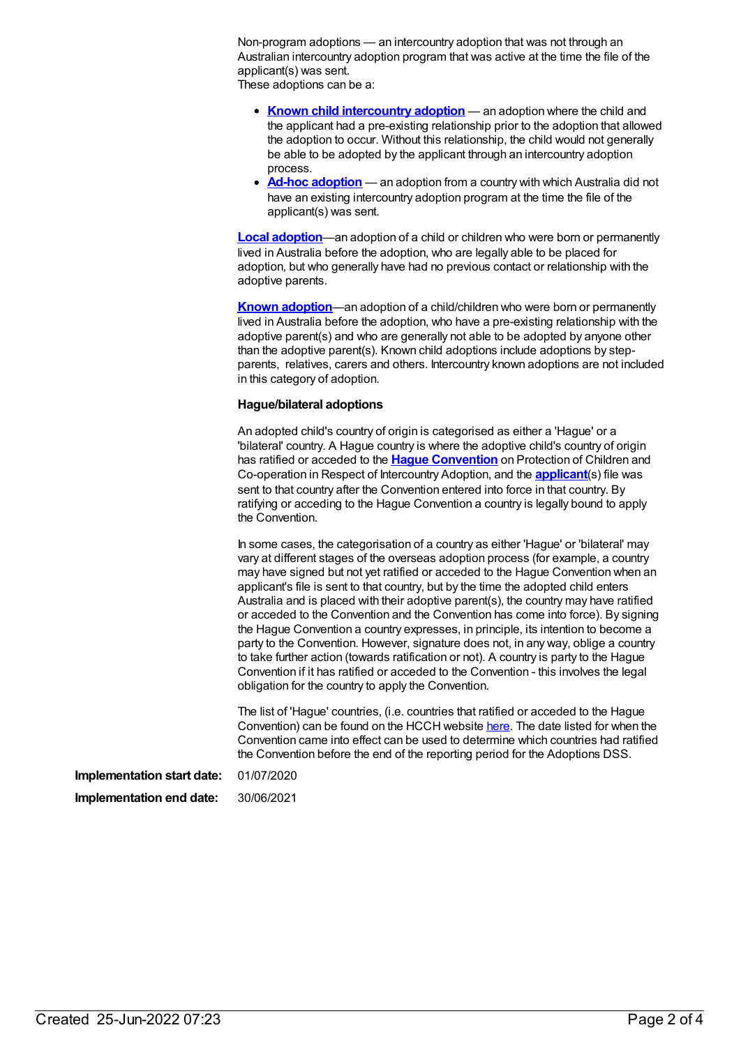Non-program adoptions — an intercountry adoption that was not through an Australian intercountry adoption program that was active at the time the file of the applicant(s) was sent.

These adoptions can be a:

- **Known child [intercountry](https://meteor.aihw.gov.au/content/749060) adoption** an adoption where the child and the applicant had a pre-existing relationship prior to the adoption that allowed the adoption to occur. Without this relationship, the child would not generally be able to be adopted by the applicant through an intercountry adoption process.
- **Ad-hoc [adoption](https://meteor.aihw.gov.au/content/749048)** an adoption from a country with which Australia did not have an existing intercountry adoption program at the time the file of the applicant(s) was sent.

**Local [adoption](https://meteor.aihw.gov.au/content/749062)**—an adoption of a child or children who were born or permanently lived in Australia before the adoption, who are legally able to be placed for adoption, but who generally have had no previous contact or relationship with the adoptive parents.

**Known [adoption](https://meteor.aihw.gov.au/content/749082)**—an adoption of a child/children who were born or permanently lived in Australia before the adoption, who have a pre-existing relationship with the adoptive parent(s) and who are generally not able to be adopted by anyone other than the adoptive parent(s). Known child adoptions include adoptions by stepparents, relatives, carers and others. Intercountry known adoptions are not included in this category of adoption.

#### **Hague/bilateral adoptions**

An adopted child's country of origin is categorised as either a 'Hague' or a 'bilateral' country. A Hague country is where the adoptive child's country of origin has ratified or acceded to the **Hague [Convention](https://meteor.aihw.gov.au/content/749098)** on Protection of Children and Co-operation in Respect of Intercountry Adoption, and the **[applicant](https://meteor.aihw.gov.au/content/749052)**(s) file was sent to that country after the Convention entered into force in that country. By ratifying or acceding to the Hague Convention a country is legally bound to apply the Convention.

In some cases, the categorisation of a country as either 'Hague' or 'bilateral' may vary at different stages of the overseas adoption process (for example, a country may have signed but not yet ratified or acceded to the Hague Convention when an applicant's file is sent to that country, but by the time the adopted child enters Australia and is placed with their adoptive parent(s), the country may have ratified or acceded to the Convention and the Convention has come into force). By signing the Hague Convention a country expresses, in principle, its intention to become a party to the Convention. However, signature does not, in any way, oblige a country to take further action (towards ratification or not). A country is party to the Hague Convention if it has ratified or acceded to the Convention - this involves the legal obligation for the country to apply the Convention.

The list of 'Hague' countries, (i.e. countries that ratified or acceded to the Hague Convention) can be found on the HCCH website [here](http://www.hcch.net/en/instruments/conventions/status-table/?cid=69). The date listed for when the Convention came into effect can be used to determine which countries had ratified the Convention before the end of the reporting period for the Adoptions DSS.

**Implementation start date:** 01/07/2020 **Implementation end date:** 30/06/2021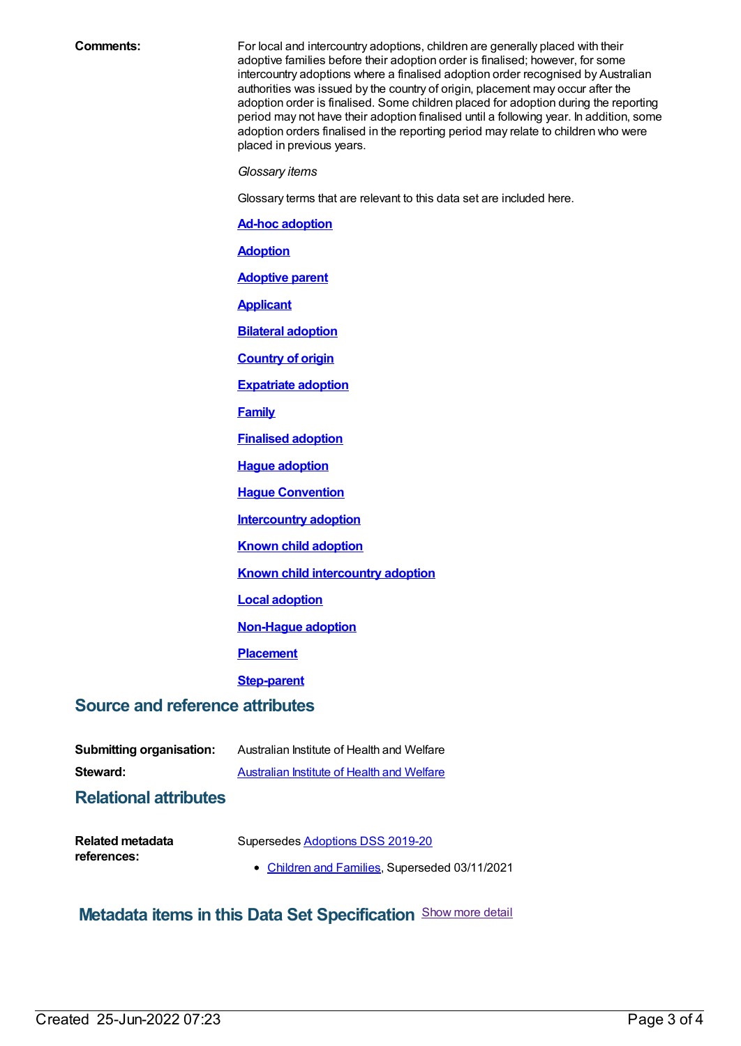**Comments:** For local and intercountry adoptions, children are generally placed with their adoptive families before their adoption order is finalised; however, for some intercountry adoptions where a finalised adoption order recognised by Australian authorities was issued by the country of origin, placement may occur after the adoption order is finalised. Some children placed for adoption during the reporting period may not have their adoption finalised until a following year. In addition, some adoption orders finalised in the reporting period may relate to children who were placed in previous years.

*Glossary items*

Glossary terms that are relevant to this data set are included here.

**Ad-hoc [adoption](https://meteor.aihw.gov.au/content/749048)**

**[Adoption](https://meteor.aihw.gov.au/content/327208)**

**[Adoptive](https://meteor.aihw.gov.au/content/749050) parent**

**[Applicant](https://meteor.aihw.gov.au/content/749052)**

**Bilateral [adoption](https://meteor.aihw.gov.au/content/749072)**

**[Country](https://meteor.aihw.gov.au/content/749054) of origin**

**[Expatriate](https://meteor.aihw.gov.au/content/749056) adoption**

**[Family](https://meteor.aihw.gov.au/content/351499)**

**[Finalised](https://meteor.aihw.gov.au/content/749075) adoption**

**Hague [adoption](https://meteor.aihw.gov.au/content/749077)**

**Hague [Convention](https://meteor.aihw.gov.au/content/749098)**

**[Intercountry](https://meteor.aihw.gov.au/content/749058) adoption**

**Known child [adoption](https://meteor.aihw.gov.au/content/749082)**

**Known child [intercountry](https://meteor.aihw.gov.au/content/749060) adoption**

**Local [adoption](https://meteor.aihw.gov.au/content/749062)**

**[Non-Hague](https://meteor.aihw.gov.au/content/749064) adoption**

**[Placement](https://meteor.aihw.gov.au/content/749066)**

**[Step-parent](https://meteor.aihw.gov.au/content/749068)**

### **Source and reference attributes**

| Australian Institute of Health and Welfare                                         |  |  |
|------------------------------------------------------------------------------------|--|--|
| Australian Institute of Health and Welfare                                         |  |  |
|                                                                                    |  |  |
| Supersedes Adoptions DSS 2019-20<br>• Children and Families, Superseded 03/11/2021 |  |  |
|                                                                                    |  |  |

## **Metadata items in this Data Set Specification** Show more detail